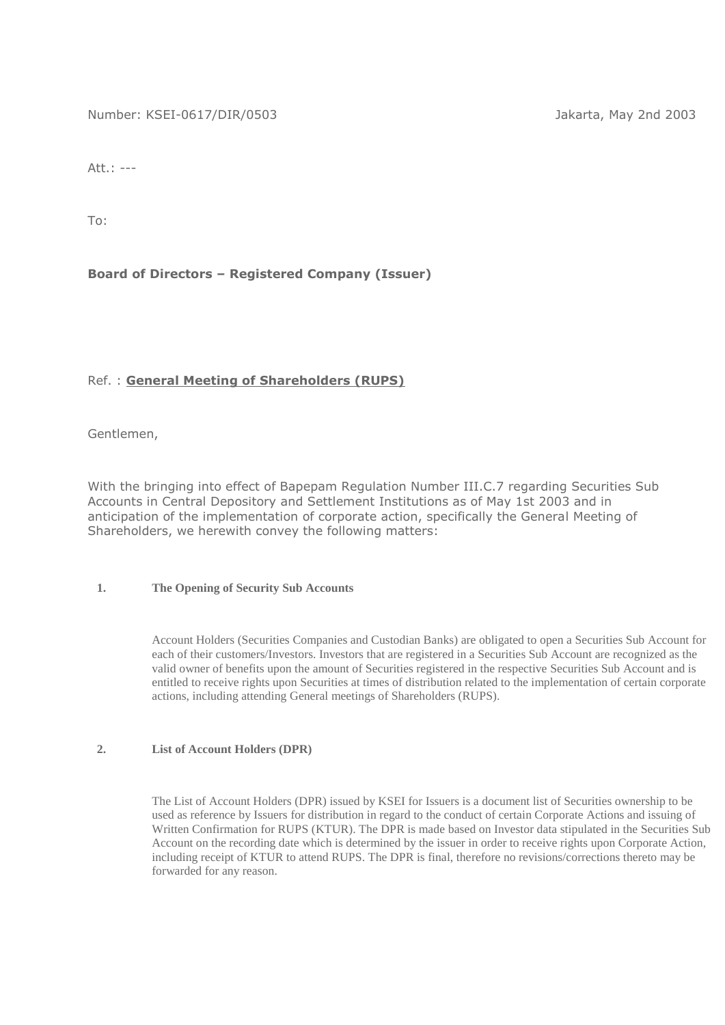Number: KSEI-0617/DIR/0503 Jakarta, May 2nd 2003

Att.: ---

To:

## **Board of Directors – Registered Company (Issuer)**

## Ref. : **General Meeting of Shareholders (RUPS)**

Gentlemen,

With the bringing into effect of Bapepam Regulation Number III.C.7 regarding Securities Sub Accounts in Central Depository and Settlement Institutions as of May 1st 2003 and in anticipation of the implementation of corporate action, specifically the General Meeting of Shareholders, we herewith convey the following matters:

#### **1. The Opening of Security Sub Accounts**

Account Holders (Securities Companies and Custodian Banks) are obligated to open a Securities Sub Account for each of their customers/Investors. Investors that are registered in a Securities Sub Account are recognized as the valid owner of benefits upon the amount of Securities registered in the respective Securities Sub Account and is entitled to receive rights upon Securities at times of distribution related to the implementation of certain corporate actions, including attending General meetings of Shareholders (RUPS).

#### **2. List of Account Holders (DPR)**

The List of Account Holders (DPR) issued by KSEI for Issuers is a document list of Securities ownership to be used as reference by Issuers for distribution in regard to the conduct of certain Corporate Actions and issuing of Written Confirmation for RUPS (KTUR). The DPR is made based on Investor data stipulated in the Securities Sub Account on the recording date which is determined by the issuer in order to receive rights upon Corporate Action, including receipt of KTUR to attend RUPS. The DPR is final, therefore no revisions/corrections thereto may be forwarded for any reason.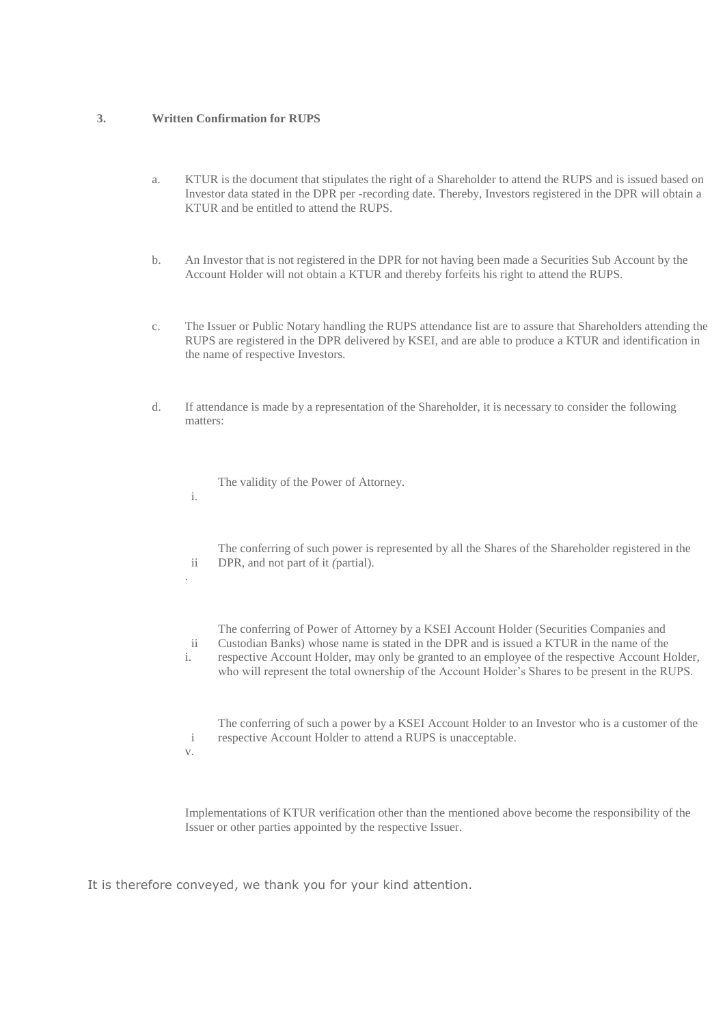#### **3. Written Confirmation for RUPS**

- a. KTUR is the document that stipulates the right of a Shareholder to attend the RUPS and is issued based on Investor data stated in the DPR per *-*recording date. Thereby, Investors registered in the DPR will obtain a KTUR and be entitled to attend the RUPS.
- b. An Investor that is not registered in the DPR for not having been made a Securities Sub Account by the Account Holder will not obtain a KTUR and thereby forfeits his right to attend the RUPS.
- c. The Issuer or Public Notary handling the RUPS attendance list are to assure that Shareholders attending the RUPS are registered in the DPR delivered by KSEI, and are able to produce a KTUR and identification in the name of respective Investors.
- d. If attendance is made by a representation of the Shareholder, it is necessary to consider the following matters:

The validity of the Power of Attorney.

 ii The conferring of such power is represented by all the Shares of the Shareholder registered in the DPR, and not part of it *(*partial).

The conferring of Power of Attorney by a KSEI Account Holder (Securities Companies and Custodian Banks) whose name is stated in the DPR and is issued a KTUR in the name of the

 ii i. respective Account Holder, may only be granted to an employee of the respective Account Holder, who will represent the total ownership of the Account Holder's Shares to be present in the RUPS.

 i The conferring of such a power by a KSEI Account Holder to an Investor who is a customer of the respective Account Holder to attend a RUPS is unacceptable.

v.

i.

.

Implementations of KTUR verification other than the mentioned above become the responsibility of the Issuer or other parties appointed by the respective Issuer.

It is therefore conveyed, we thank you for your kind attention.